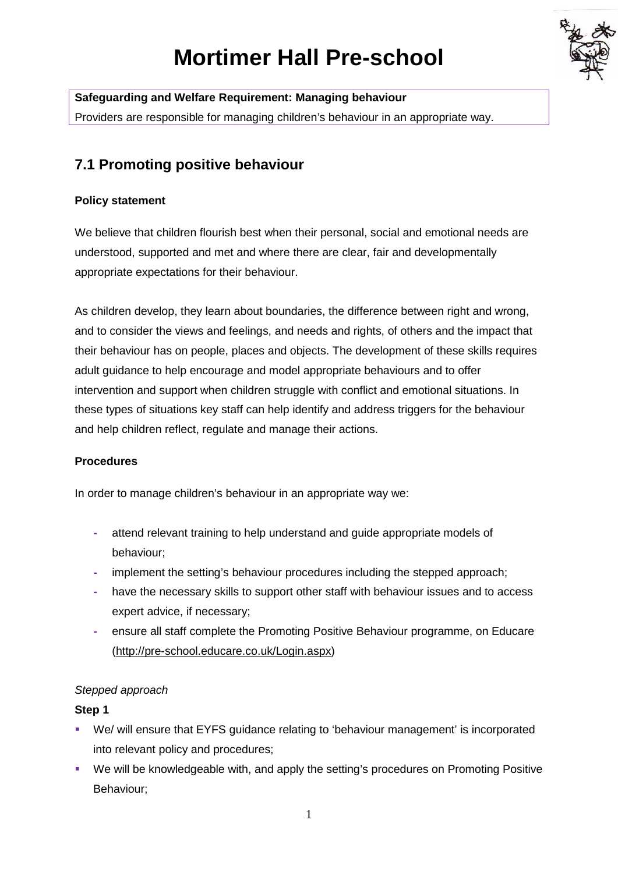# **Mortimer Hall Pre-school**



**Safeguarding and Welfare Requirement: Managing behaviour** Providers are responsible for managing children's behaviour in an appropriate way.

# **7.1 Promoting positive behaviour**

### **Policy statement**

We believe that children flourish best when their personal, social and emotional needs are understood, supported and met and where there are clear, fair and developmentally appropriate expectations for their behaviour.

As children develop, they learn about boundaries, the difference between right and wrong, and to consider the views and feelings, and needs and rights, of others and the impact that their behaviour has on people, places and objects. The development of these skills requires adult guidance to help encourage and model appropriate behaviours and to offer intervention and support when children struggle with conflict and emotional situations. In these types of situations key staff can help identify and address triggers for the behaviour and help children reflect, regulate and manage their actions.

#### **Procedures**

In order to manage children's behaviour in an appropriate way we:

- **-** attend relevant training to help understand and guide appropriate models of behaviour;
- **-** implement the setting's behaviour procedures including the stepped approach;
- **-** have the necessary skills to support other staff with behaviour issues and to access expert advice, if necessary;
- **-** ensure all staff complete the Promoting Positive Behaviour programme, on Educare [\(http://pre-school.educare.co.uk/Login.aspx\)](http://pre-school.educare.co.uk/Login.aspx)

## *Stepped approach*

#### **Step 1**

- We/ will ensure that EYFS guidance relating to 'behaviour management' is incorporated into relevant policy and procedures;
- We will be knowledgeable with, and apply the setting's procedures on Promoting Positive Behaviour;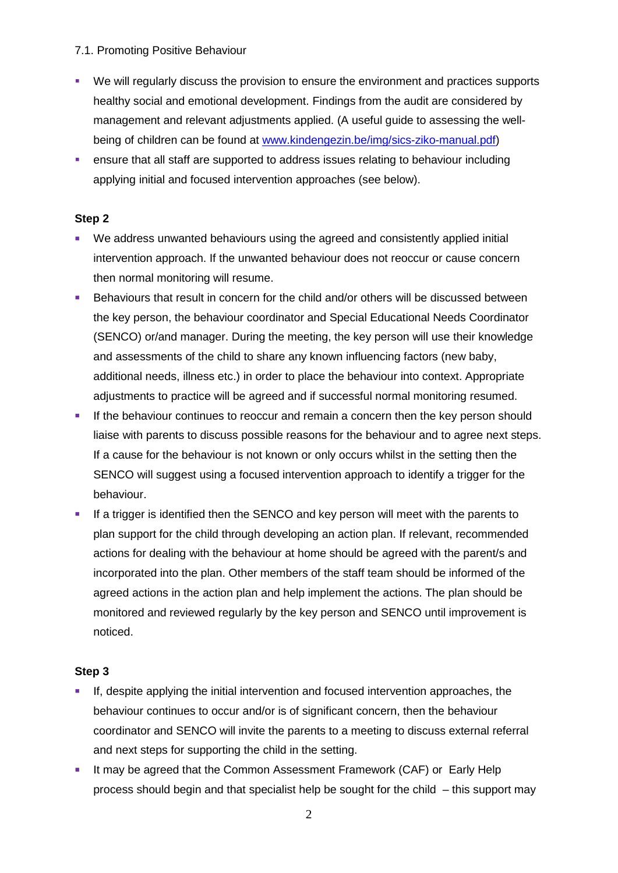#### 7.1. Promoting Positive Behaviour

- We will regularly discuss the provision to ensure the environment and practices supports healthy social and emotional development. Findings from the audit are considered by management and relevant adjustments applied. (A useful guide to assessing the wellbeing of children can be found at [www.kindengezin.be/img/sics-ziko-manual.pdf\)](http://www.kindengezin.be/img/sics-ziko-manual.pdf)
- ensure that all staff are supported to address issues relating to behaviour including applying initial and focused intervention approaches (see below).

#### **Step 2**

- We address unwanted behaviours using the agreed and consistently applied initial intervention approach. If the unwanted behaviour does not reoccur or cause concern then normal monitoring will resume.
- **Behaviours that result in concern for the child and/or others will be discussed between** the key person, the behaviour coordinator and Special Educational Needs Coordinator (SENCO) or/and manager. During the meeting, the key person will use their knowledge and assessments of the child to share any known influencing factors (new baby, additional needs, illness etc.) in order to place the behaviour into context. Appropriate adjustments to practice will be agreed and if successful normal monitoring resumed.
- **If the behaviour continues to reoccur and remain a concern then the key person should** liaise with parents to discuss possible reasons for the behaviour and to agree next steps. If a cause for the behaviour is not known or only occurs whilst in the setting then the SENCO will suggest using a focused intervention approach to identify a trigger for the behaviour.
- If a trigger is identified then the SENCO and key person will meet with the parents to plan support for the child through developing an action plan. If relevant, recommended actions for dealing with the behaviour at home should be agreed with the parent/s and incorporated into the plan. Other members of the staff team should be informed of the agreed actions in the action plan and help implement the actions. The plan should be monitored and reviewed regularly by the key person and SENCO until improvement is noticed.

#### **Step 3**

- **If, despite applying the initial intervention and focused intervention approaches, the** behaviour continues to occur and/or is of significant concern, then the behaviour coordinator and SENCO will invite the parents to a meeting to discuss external referral and next steps for supporting the child in the setting.
- It may be agreed that the Common Assessment Framework (CAF) or Early Help process should begin and that specialist help be sought for the child – this support may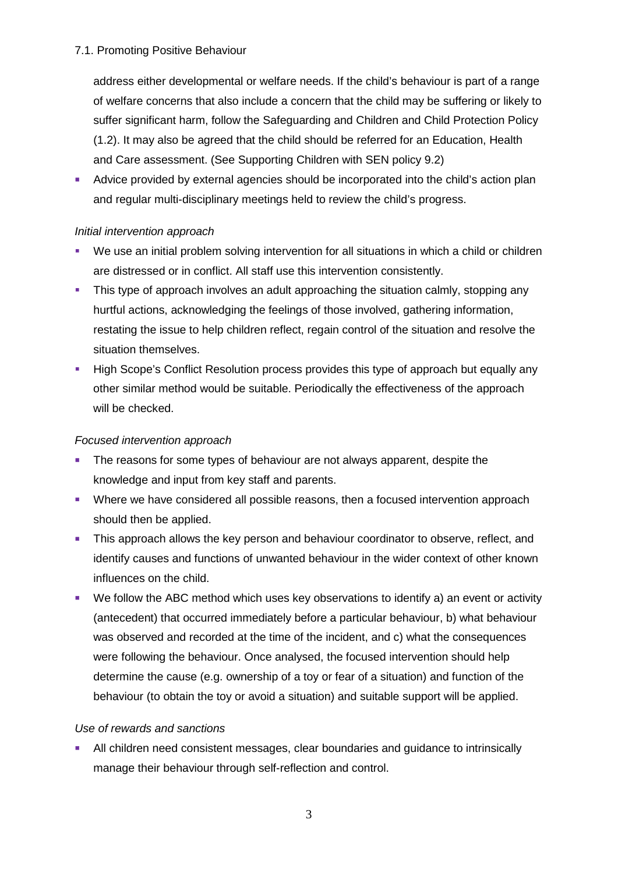#### 7.1. Promoting Positive Behaviour

address either developmental or welfare needs. If the child's behaviour is part of a range of welfare concerns that also include a concern that the child may be suffering or likely to suffer significant harm, follow the Safeguarding and Children and Child Protection Policy (1.2). It may also be agreed that the child should be referred for an Education, Health and Care assessment. (See Supporting Children with SEN policy 9.2)

 Advice provided by external agencies should be incorporated into the child's action plan and regular multi-disciplinary meetings held to review the child's progress.

#### *Initial intervention approach*

- We use an initial problem solving intervention for all situations in which a child or children are distressed or in conflict. All staff use this intervention consistently.
- This type of approach involves an adult approaching the situation calmly, stopping any hurtful actions, acknowledging the feelings of those involved, gathering information, restating the issue to help children reflect, regain control of the situation and resolve the situation themselves.
- High Scope's Conflict Resolution process provides this type of approach but equally any other similar method would be suitable. Periodically the effectiveness of the approach will be checked.

#### *Focused intervention approach*

- The reasons for some types of behaviour are not always apparent, despite the knowledge and input from key staff and parents.
- **Where we have considered all possible reasons, then a focused intervention approach** should then be applied.
- This approach allows the key person and behaviour coordinator to observe, reflect, and identify causes and functions of unwanted behaviour in the wider context of other known influences on the child.
- We follow the ABC method which uses key observations to identify a) an event or activity (antecedent) that occurred immediately before a particular behaviour, b) what behaviour was observed and recorded at the time of the incident, and c) what the consequences were following the behaviour. Once analysed, the focused intervention should help determine the cause (e.g. ownership of a toy or fear of a situation) and function of the behaviour (to obtain the toy or avoid a situation) and suitable support will be applied.

#### *Use of rewards and sanctions*

 All children need consistent messages, clear boundaries and guidance to intrinsically manage their behaviour through self-reflection and control.